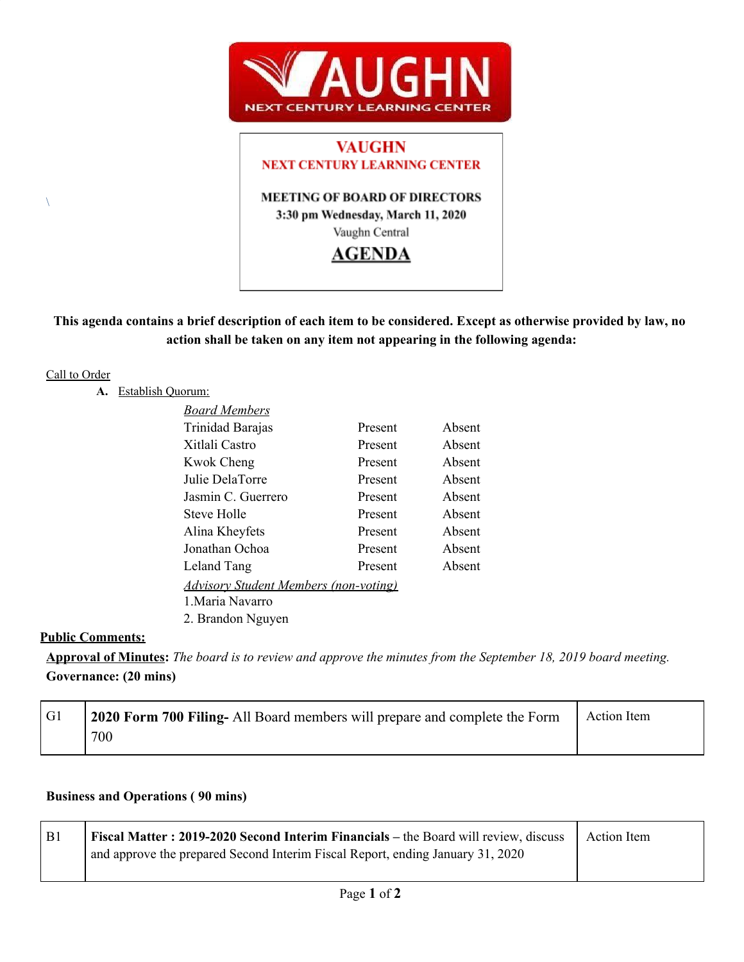

# **VAUGHN NEXT CENTURY LEARNING CENTER MEETING OF BOARD OF DIRECTORS** 3:30 pm Wednesday, March 11, 2020 Vaughn Central **AGENDA**

## This agenda contains a brief description of each item to be considered. Except as otherwise provided by law, no **action shall be taken on any item not appearing in the following agenda:**

### Call to Order

 $\lambda$ 

**A.** Establish Quorum:

| <b>Board Members</b>                         |         |        |
|----------------------------------------------|---------|--------|
| Trinidad Barajas                             | Present | Absent |
| Xitlali Castro                               | Present | Absent |
| <b>Kwok Cheng</b>                            | Present | Absent |
| Julie DelaTorre                              | Present | Absent |
| Jasmin C. Guerrero                           | Present | Absent |
| <b>Steve Holle</b>                           | Present | Absent |
| Alina Kheyfets                               | Present | Absent |
| Jonathan Ochoa                               | Present | Absent |
| Leland Tang                                  | Present | Absent |
| <u>Advisory Student Members (non-voting)</u> |         |        |
| 1 Maria Navarro                              |         |        |
| 2. Brandon Nguyen                            |         |        |

### **Public Comments:**

Approval of Minutes: The board is to review and approve the minutes from the September 18, 2019 board meeting. **Governance: (20 mins)**

| G1 | 2020 Form 700 Filing- All Board members will prepare and complete the Form | Action Item |
|----|----------------------------------------------------------------------------|-------------|
|    | 700                                                                        |             |

## **Business and Operations ( 90 mins)**

| <b>B</b> 1 | Fiscal Matter: 2019-2020 Second Interim Financials – the Board will review, discuss | Action Item |
|------------|-------------------------------------------------------------------------------------|-------------|
|            | and approve the prepared Second Interim Fiscal Report, ending January 31, 2020      |             |
|            |                                                                                     |             |